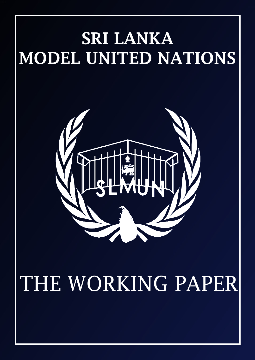

# THE WORKING PAPER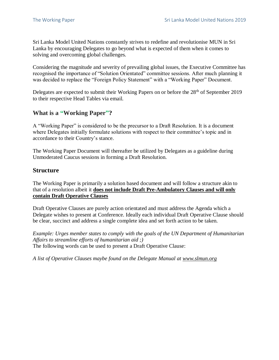Sri Lanka Model United Nations constantly strives to redefine and revolutionise MUN in Sri Lanka by encouraging Delegates to go beyond what is expected of them when it comes to solving and overcoming global challenges.

Considering the magnitude and severity of prevailing global issues, the Executive Committee has recognised the importance of "Solution Orientated" committee sessions. After much planning it was decided to replace the "Foreign Policy Statement" with a "Working Paper" Document.

Delegates are expected to submit their Working Papers on or before the 28<sup>th</sup> of September 2019 to their respective Head Tables via email.

### **What is a "Working Paper"?**

A "Working Paper" is considered to be the precursor to a Draft Resolution. It is a document where Delegates initially formulate solutions with respect to their committee's topic and in accordance to their Country's stance.

The Working Paper Document will thereafter be utilized by Delegates as a guideline during Unmoderated Caucus sessions in forming a Draft Resolution.

#### **Structure**

The Working Paper is primarily a solution based document and will follow a structure akin to that of a resolution albeit it **does not include Draft Pre-Ambulatory Clauses and will only contain Draft Operative Clauses**

Draft Operative Clauses are purely action orientated and must address the Agenda which a Delegate wishes to present at Conference. Ideally each individual Draft Operative Clause should be clear, succinct and address a single complete idea and set forth action to be taken.

*Example: Urges member states to comply with the goals of the UN Department of Humanitarian Affairs to streamline efforts of humanitarian aid ;)* The following words can be used to present a Draft Operative Clause:

*A list of Operative Clauses maybe found on the Delegate Manual at www.slmun.org*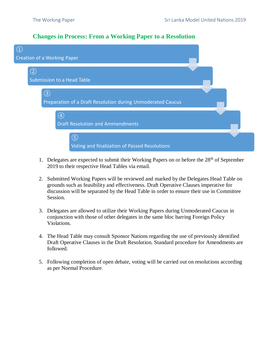#### **Changes in Process: From a Working Paper to a Resolution**

| $\left( \mathrm{1}\right)$         |                                                             |  |
|------------------------------------|-------------------------------------------------------------|--|
| <b>Creation of a Working Paper</b> |                                                             |  |
| (2)                                | <b>Submission to a Head Table</b>                           |  |
| (3)                                | Preparation of a Draft Resolution during Unmoderated Caucus |  |
|                                    | $\circled{4}$<br><b>Draft Resolution and Ammendments</b>    |  |
|                                    | (5)<br><b>Voting and finalization of Passed Resolutions</b> |  |

- 1. Delegates are expected to submit their Working Papers on or before the  $28<sup>th</sup>$  of September 2019 to their respective Head Tables via email.
- 2. Submitted Working Papers will be reviewed and marked by the Delegates Head Table on grounds such as feasibility and effectiveness. Draft Operative Clauses imperative for discussion will be separated by the Head Table in order to ensure their use in Committee Session.
- 3. Delegates are allowed to utilize their Working Papers during Unmoderated Caucus in conjunction with those of other delegates in the same bloc barring Foreign Policy Violations.
- 4. The Head Table may consult Sponsor Nations regarding the use of previously identified Draft Operative Clauses in the Draft Resolution. Standard procedure for Amendments are followed.
- 5. Following completion of open debate, voting will be carried out on resolutions according as per Normal Procedure.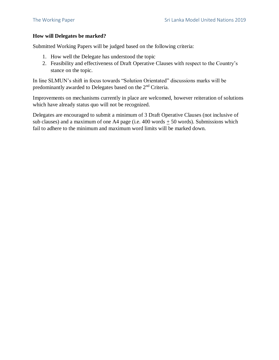#### **How will Delegates be marked?**

Submitted Working Papers will be judged based on the following criteria:

- 1. How well the Delegate has understood the topic
- 2. Feasibility and effectiveness of Draft Operative Clauses with respect to the Country's stance on the topic.

In line SLMUN's shift in focus towards "Solution Orientated" discussions marks will be predominantly awarded to Delegates based on the 2nd Criteria.

Improvements on mechanisms currently in place are welcomed, however reiteration of solutions which have already status quo will not be recognized.

Delegates are encouraged to submit a minimum of 3 Draft Operative Clauses (not inclusive of sub clauses) and a maximum of one A4 page (i.e.  $400$  words + 50 words). Submissions which fail to adhere to the minimum and maximum word limits will be marked down.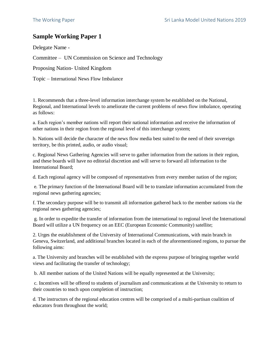## **Sample Working Paper 1**

Delegate Name -

Committee – UN Commission on Science and Technology

Proposing Nation- United Kingdom

Topic – International News Flow Imbalance

1. Recommends that a three-level information interchange system be established on the National, Regional, and International levels to ameliorate the current problems of news flow imbalance, operating as follows:

a. Each region's member nations will report their national information and receive the information of other nations in their region from the regional level of this interchange system;

b. Nations will decide the character of the news flow media best suited to the need of their sovereign territory, be this printed, audio, or audio visual;

c. Regional News Gathering Agencies will serve to gather information from the nations in their region, and these boards will have no editorial discretion and will serve to forward all information to the International Board;

d. Each regional agency will be composed of representatives from every member nation of the region;

e. The primary function of the International Board will be to translate information accumulated from the regional news gathering agencies;

f. The secondary purpose will be to transmit all information gathered back to the member nations via the regional news gathering agencies;

g. In order to expedite the transfer of information from the international to regional level the International Board will utilize a UN frequency on an EEC (European Economic Community) satellite;

2. Urges the establishment of the University of International Communications, with main branch in Geneva, Switzerland, and additional branches located in each of the aforementioned regions, to pursue the following aims:

a. The University and branches will be established with the express purpose of bringing together world views and facilitating the transfer of technology;

b. All member nations of the United Nations will be equally represented at the University;

c. Incentives will be offered to students of journalism and communications at the University to return to their countries to teach upon completion of instruction;

d. The instructors of the regional education centres will be comprised of a multi-partisan coalition of educators from throughout the world;